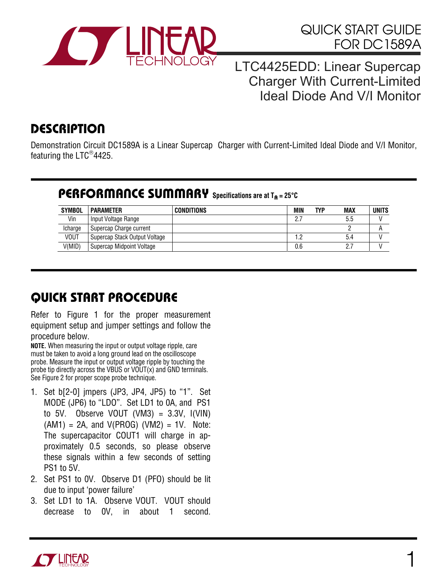

### QUICK START GUIDE FOR DC1589A

#### LTC4425EDD: Linear Supercap Charger With Current-Limited Ideal Diode And V/I Monitor

# **DESCRIPTION**

Demonstration Circuit DC1589A is a Linear Supercap Charger with Current-Limited Ideal Diode and V/I Monitor, featuring the LTC®4425.

#### PERFORMANCE SUMMARY **Specifications are at T**A **= 25°C**

| <b>SYMBOL</b> | <b>PARAMETER</b>              | <b>CONDITIONS</b> | MIN | <b>TYP</b> | <b>MAX</b> | <b>UNITS</b> |
|---------------|-------------------------------|-------------------|-----|------------|------------|--------------|
| Vin           | Input Voltage Range           |                   | 27  |            | 5.5        |              |
| Icharge       | Supercap Charge current       |                   |     |            |            |              |
| <b>VOUT</b>   | Supercap Stack Output Voltage |                   |     |            | 5.4        |              |
| V(MID)        | Supercap Midpoint Voltage     |                   | 0.6 |            |            |              |

# QUICK START PROCEDURE

Refer to Figure 1 for the proper measurement equipment setup and jumper settings and follow the procedure below.

**NOTE.** When measuring the input or output voltage ripple, care must be taken to avoid a long ground lead on the oscilloscope probe. Measure the input or output voltage ripple by touching the probe tip directly across the VBUS or VOUT(x) and GND terminals. See Figure 2 for proper scope probe technique.

- 1. Set b[2-0] jmpers (JP3, JP4, JP5) to "1". Set MODE (JP6) to "LDO". Set LD1 to 0A, and PS1 to 5V. Observe VOUT  $(VM3) = 3.3V$ ,  $I(VIN)$  $(AM1) = 2A$ , and  $V(PROG)$   $(VM2) = 1V$ . Note: The supercapacitor COUT1 will charge in approximately 0.5 seconds, so please observe these signals within a few seconds of setting PS1 to 5V.
- 2. Set PS1 to 0V. Observe D1 (PFO) should be lit due to input 'power failure'
- 3. Set LD1 to 1A. Observe VOUT. VOUT should decrease to 0V, in about 1 second.

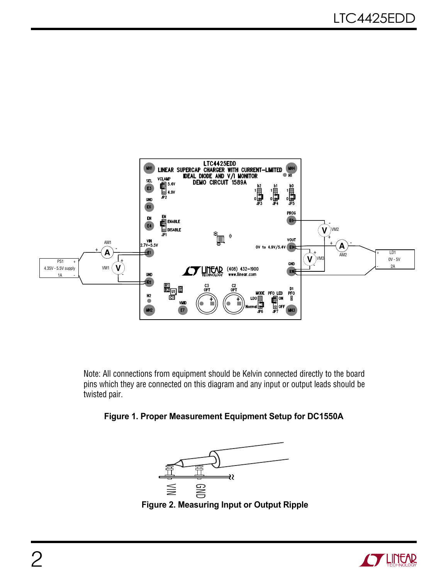

Note: All connections from equipment should be Kelvin connected directly to the board pins which they are connected on this diagram and any input or output leads should be twisted pair.







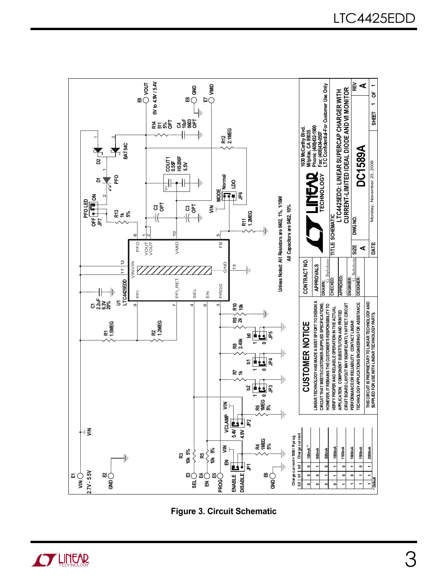